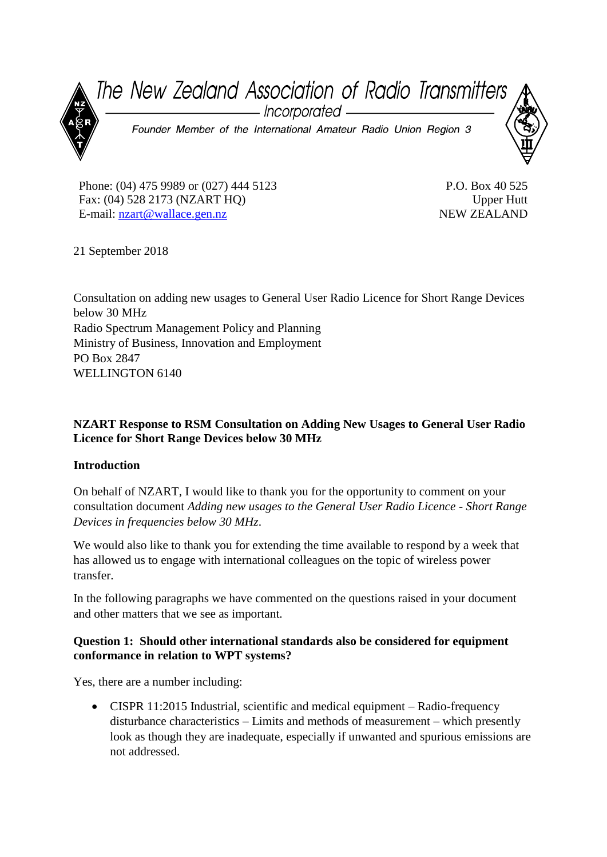

Phone: (04) 475 9989 or (027) 444 5123 Fax: (04) 528 2173 (NZART HQ) E-mail: [nzart@wallace.gen.nz](mailto:nzart@wallace.gen.nz)

P.O. Box 40 525 Upper Hutt NEW ZEALAND

21 September 2018

Consultation on adding new usages to General User Radio Licence for Short Range Devices below 30 MHz Radio Spectrum Management Policy and Planning Ministry of Business, Innovation and Employment PO Box 2847 WELLINGTON 6140

# **NZART Response to RSM Consultation on Adding New Usages to General User Radio Licence for Short Range Devices below 30 MHz**

### **Introduction**

On behalf of NZART, I would like to thank you for the opportunity to comment on your consultation document *Adding new usages to the General User Radio Licence - Short Range Devices in frequencies below 30 MHz*.

We would also like to thank you for extending the time available to respond by a week that has allowed us to engage with international colleagues on the topic of wireless power transfer.

In the following paragraphs we have commented on the questions raised in your document and other matters that we see as important.

#### **Question 1: Should other international standards also be considered for equipment conformance in relation to WPT systems?**

Yes, there are a number including:

• CISPR 11:2015 Industrial, scientific and medical equipment – Radio-frequency disturbance characteristics – Limits and methods of measurement – which presently look as though they are inadequate, especially if unwanted and spurious emissions are not addressed.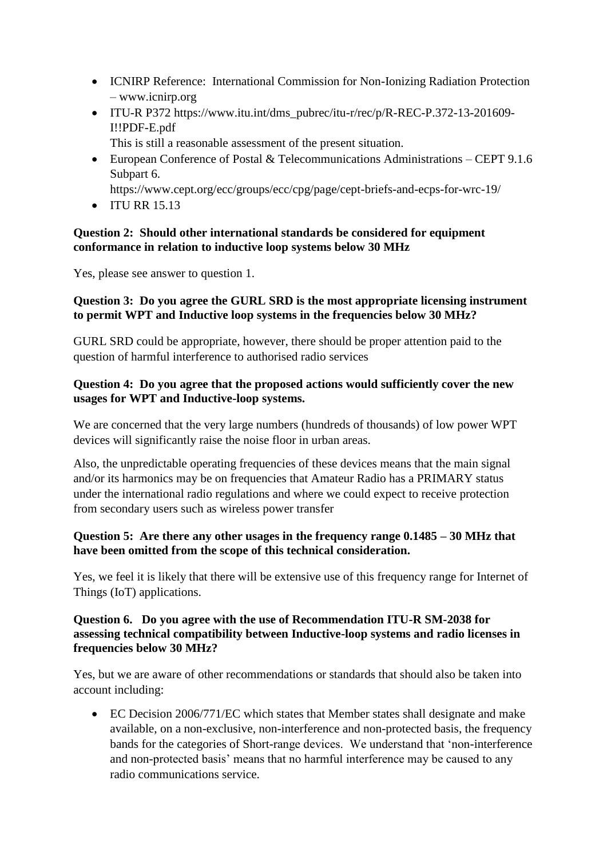- ICNIRP Reference: International Commission for Non-Ionizing Radiation Protection – www.icnirp.org
- ITU-R P372 https://www.itu.int/dms\_pubrec/itu-r/rec/p/R-REC-P.372-13-201609- I!!PDF-E.pdf
	- This is still a reasonable assessment of the present situation.
- European Conference of Postal & Telecommunications Administrations CEPT 9.1.6 Subpart 6.

https://www.cept.org/ecc/groups/ecc/cpg/page/cept-briefs-and-ecps-for-wrc-19/

• ITU RR 15.13

## **Question 2: Should other international standards be considered for equipment conformance in relation to inductive loop systems below 30 MHz**

Yes, please see answer to question 1.

### **Question 3: Do you agree the GURL SRD is the most appropriate licensing instrument to permit WPT and Inductive loop systems in the frequencies below 30 MHz?**

GURL SRD could be appropriate, however, there should be proper attention paid to the question of harmful interference to authorised radio services

### **Question 4: Do you agree that the proposed actions would sufficiently cover the new usages for WPT and Inductive-loop systems.**

We are concerned that the very large numbers (hundreds of thousands) of low power WPT devices will significantly raise the noise floor in urban areas.

Also, the unpredictable operating frequencies of these devices means that the main signal and/or its harmonics may be on frequencies that Amateur Radio has a PRIMARY status under the international radio regulations and where we could expect to receive protection from secondary users such as wireless power transfer

# **Question 5: Are there any other usages in the frequency range 0.1485 – 30 MHz that have been omitted from the scope of this technical consideration.**

Yes, we feel it is likely that there will be extensive use of this frequency range for Internet of Things (IoT) applications.

### **Question 6. Do you agree with the use of Recommendation ITU-R SM-2038 for assessing technical compatibility between Inductive-loop systems and radio licenses in frequencies below 30 MHz?**

Yes, but we are aware of other recommendations or standards that should also be taken into account including:

• EC Decision 2006/771/EC which states that Member states shall designate and make available, on a non-exclusive, non-interference and non-protected basis, the frequency bands for the categories of Short-range devices. We understand that 'non-interference and non-protected basis' means that no harmful interference may be caused to any radio communications service.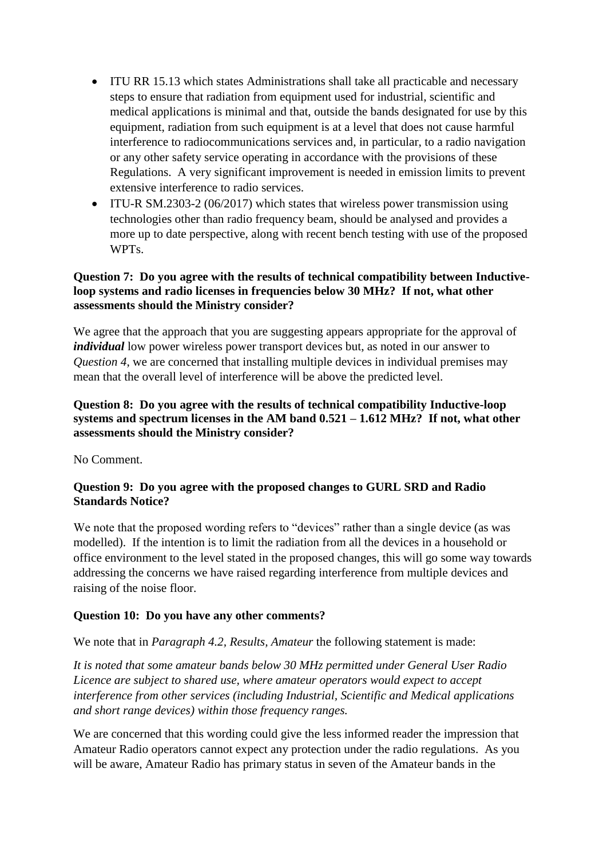- ITU RR 15.13 which states Administrations shall take all practicable and necessary steps to ensure that radiation from equipment used for industrial, scientific and medical applications is minimal and that, outside the bands designated for use by this equipment, radiation from such equipment is at a level that does not cause harmful interference to radiocommunications services and, in particular, to a radio navigation or any other safety service operating in accordance with the provisions of these Regulations. A very significant improvement is needed in emission limits to prevent extensive interference to radio services.
- ITU-R SM.2303-2 (06/2017) which states that wireless power transmission using technologies other than radio frequency beam, should be analysed and provides a more up to date perspective, along with recent bench testing with use of the proposed WPTs.

## **Question 7: Do you agree with the results of technical compatibility between Inductiveloop systems and radio licenses in frequencies below 30 MHz? If not, what other assessments should the Ministry consider?**

We agree that the approach that you are suggesting appears appropriate for the approval of *individual* low power wireless power transport devices but, as noted in our answer to *Question 4*, we are concerned that installing multiple devices in individual premises may mean that the overall level of interference will be above the predicted level.

# **Question 8: Do you agree with the results of technical compatibility Inductive-loop systems and spectrum licenses in the AM band 0.521 – 1.612 MHz? If not, what other assessments should the Ministry consider?**

No Comment.

### **Question 9: Do you agree with the proposed changes to GURL SRD and Radio Standards Notice?**

We note that the proposed wording refers to "devices" rather than a single device (as was modelled). If the intention is to limit the radiation from all the devices in a household or office environment to the level stated in the proposed changes, this will go some way towards addressing the concerns we have raised regarding interference from multiple devices and raising of the noise floor.

### **Question 10: Do you have any other comments?**

We note that in *Paragraph 4.2, Results, Amateur* the following statement is made:

*It is noted that some amateur bands below 30 MHz permitted under General User Radio Licence are subject to shared use, where amateur operators would expect to accept interference from other services (including Industrial, Scientific and Medical applications and short range devices) within those frequency ranges.*

We are concerned that this wording could give the less informed reader the impression that Amateur Radio operators cannot expect any protection under the radio regulations. As you will be aware, Amateur Radio has primary status in seven of the Amateur bands in the